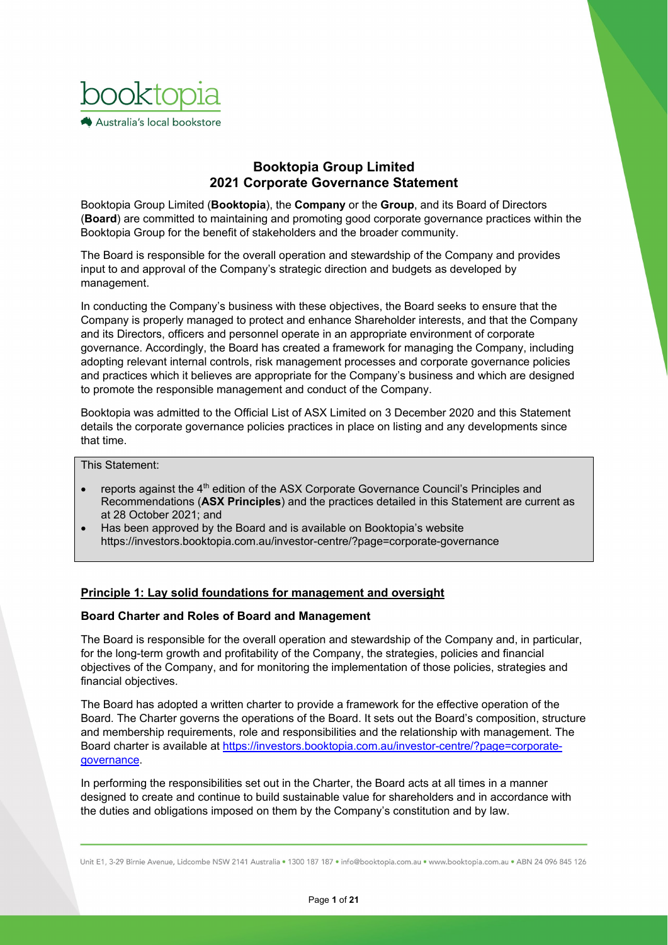

# **Booktopia Group Limited 2021 Corporate Governance Statement**

Booktopia Group Limited (**Booktopia**), the **Company** or the **Group**, and its Board of Directors (**Board**) are committed to maintaining and promoting good corporate governance practices within the Booktopia Group for the benefit of stakeholders and the broader community.

The Board is responsible for the overall operation and stewardship of the Company and provides input to and approval of the Company's strategic direction and budgets as developed by management.

In conducting the Company's business with these objectives, the Board seeks to ensure that the Company is properly managed to protect and enhance Shareholder interests, and that the Company and its Directors, officers and personnel operate in an appropriate environment of corporate governance. Accordingly, the Board has created a framework for managing the Company, including adopting relevant internal controls, risk management processes and corporate governance policies and practices which it believes are appropriate for the Company's business and which are designed to promote the responsible management and conduct of the Company.

Booktopia was admitted to the Official List of ASX Limited on 3 December 2020 and this Statement details the corporate governance policies practices in place on listing and any developments since that time.

## This Statement:

- reports against the 4th edition of the ASX Corporate Governance Council's Principles and Recommendations (**ASX Principles**) and the practices detailed in this Statement are current as at 28 October 2021; and
- Has been approved by the Board and is available on Booktopia's website https://investors.booktopia.com.au/investor-centre/?page=corporate-governance

## **Principle 1: Lay solid foundations for management and oversight**

### **Board Charter and Roles of Board and Management**

The Board is responsible for the overall operation and stewardship of the Company and, in particular, for the long-term growth and profitability of the Company, the strategies, policies and financial objectives of the Company, and for monitoring the implementation of those policies, strategies and financial objectives.

The Board has adopted a written charter to provide a framework for the effective operation of the Board. The Charter governs the operations of the Board. It sets out the Board's composition, structure and membership requirements, role and responsibilities and the relationship with management. The Board charter is available at https://investors.booktopia.com.au/investor-centre/?page=corporategovernance.

In performing the responsibilities set out in the Charter, the Board acts at all times in a manner designed to create and continue to build sustainable value for shareholders and in accordance with the duties and obligations imposed on them by the Company's constitution and by law.

Unit E1, 3-29 Birnie Avenue, Lidcombe NSW 2141 Australia . 1300 187 187 . info@booktopia.com.au . www.booktopia.com.au . ABN 24 096 845 126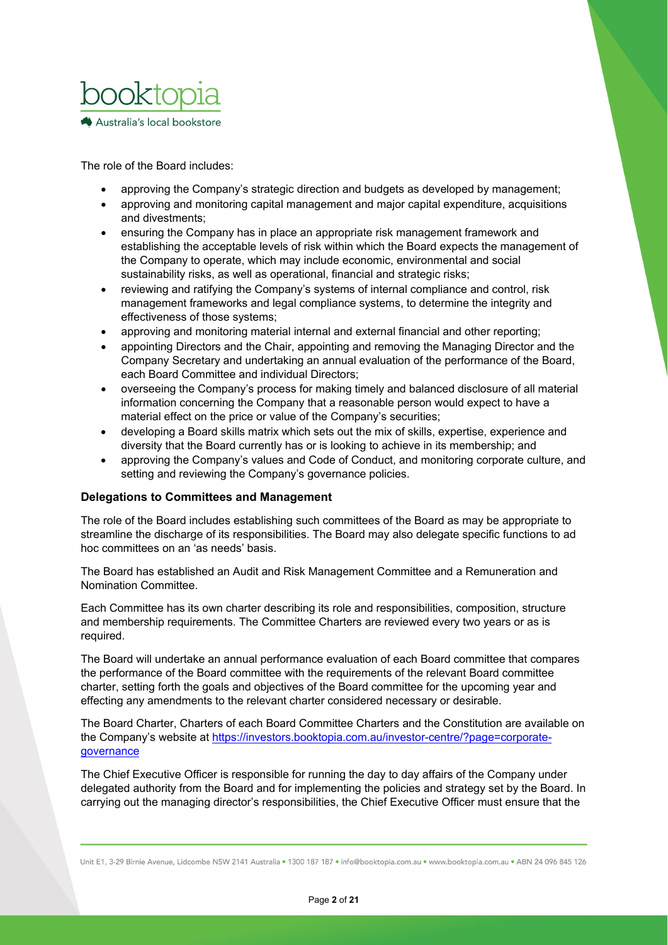

The role of the Board includes:

- approving the Company's strategic direction and budgets as developed by management;
- approving and monitoring capital management and major capital expenditure, acquisitions and divestments;
- ensuring the Company has in place an appropriate risk management framework and establishing the acceptable levels of risk within which the Board expects the management of the Company to operate, which may include economic, environmental and social sustainability risks, as well as operational, financial and strategic risks;
- reviewing and ratifying the Company's systems of internal compliance and control, risk management frameworks and legal compliance systems, to determine the integrity and effectiveness of those systems;
- approving and monitoring material internal and external financial and other reporting;
- appointing Directors and the Chair, appointing and removing the Managing Director and the Company Secretary and undertaking an annual evaluation of the performance of the Board, each Board Committee and individual Directors;
- overseeing the Company's process for making timely and balanced disclosure of all material information concerning the Company that a reasonable person would expect to have a material effect on the price or value of the Company's securities;
- developing a Board skills matrix which sets out the mix of skills, expertise, experience and diversity that the Board currently has or is looking to achieve in its membership; and
- approving the Company's values and Code of Conduct, and monitoring corporate culture, and setting and reviewing the Company's governance policies.

## **Delegations to Committees and Management**

The role of the Board includes establishing such committees of the Board as may be appropriate to streamline the discharge of its responsibilities. The Board may also delegate specific functions to ad hoc committees on an 'as needs' basis.

The Board has established an Audit and Risk Management Committee and a Remuneration and Nomination Committee.

Each Committee has its own charter describing its role and responsibilities, composition, structure and membership requirements. The Committee Charters are reviewed every two years or as is required.

The Board will undertake an annual performance evaluation of each Board committee that compares the performance of the Board committee with the requirements of the relevant Board committee charter, setting forth the goals and objectives of the Board committee for the upcoming year and effecting any amendments to the relevant charter considered necessary or desirable.

The Board Charter, Charters of each Board Committee Charters and the Constitution are available on the Company's website at https://investors.booktopia.com.au/investor-centre/?page=corporate**governance** 

The Chief Executive Officer is responsible for running the day to day affairs of the Company under delegated authority from the Board and for implementing the policies and strategy set by the Board. In carrying out the managing director's responsibilities, the Chief Executive Officer must ensure that the

Unit E1, 3-29 Birnie Avenue, Lidcombe NSW 2141 Australia · 1300 187 187 · info@booktopia.com.au · www.booktopia.com.au · ABN 24 096 845 126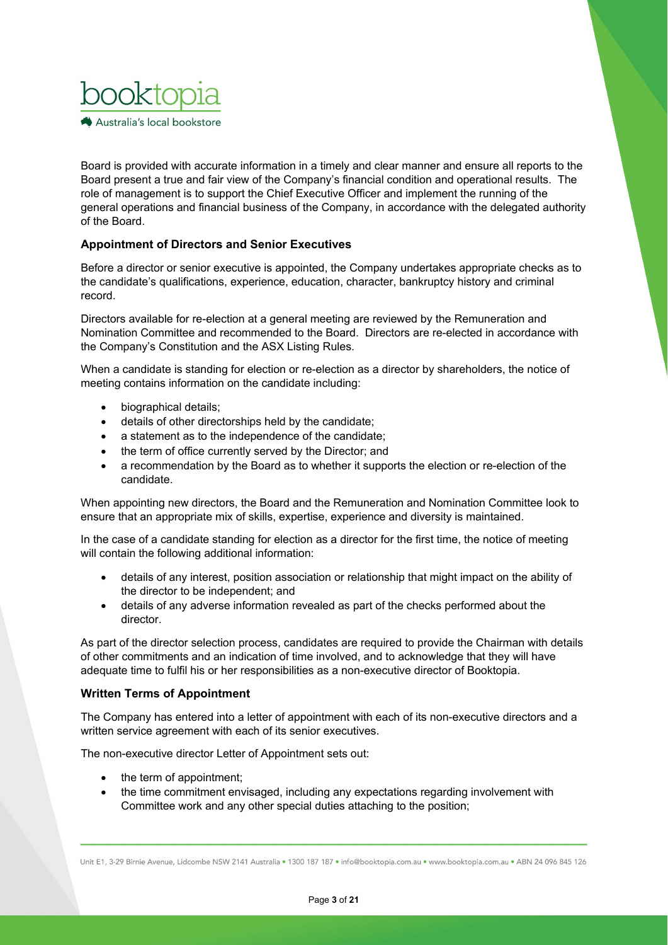

Board is provided with accurate information in a timely and clear manner and ensure all reports to the Board present a true and fair view of the Company's financial condition and operational results. The role of management is to support the Chief Executive Officer and implement the running of the general operations and financial business of the Company, in accordance with the delegated authority of the Board.

## **Appointment of Directors and Senior Executives**

Before a director or senior executive is appointed, the Company undertakes appropriate checks as to the candidate's qualifications, experience, education, character, bankruptcy history and criminal record.

Directors available for re-election at a general meeting are reviewed by the Remuneration and Nomination Committee and recommended to the Board. Directors are re-elected in accordance with the Company's Constitution and the ASX Listing Rules.

When a candidate is standing for election or re-election as a director by shareholders, the notice of meeting contains information on the candidate including:

- biographical details;
- details of other directorships held by the candidate;
- a statement as to the independence of the candidate;
- the term of office currently served by the Director; and
- a recommendation by the Board as to whether it supports the election or re-election of the candidate.

When appointing new directors, the Board and the Remuneration and Nomination Committee look to ensure that an appropriate mix of skills, expertise, experience and diversity is maintained.

In the case of a candidate standing for election as a director for the first time, the notice of meeting will contain the following additional information:

- details of any interest, position association or relationship that might impact on the ability of the director to be independent; and
- details of any adverse information revealed as part of the checks performed about the director.

As part of the director selection process, candidates are required to provide the Chairman with details of other commitments and an indication of time involved, and to acknowledge that they will have adequate time to fulfil his or her responsibilities as a non-executive director of Booktopia.

## **Written Terms of Appointment**

The Company has entered into a letter of appointment with each of its non-executive directors and a written service agreement with each of its senior executives.

The non-executive director Letter of Appointment sets out:

- the term of appointment:
- the time commitment envisaged, including any expectations regarding involvement with Committee work and any other special duties attaching to the position;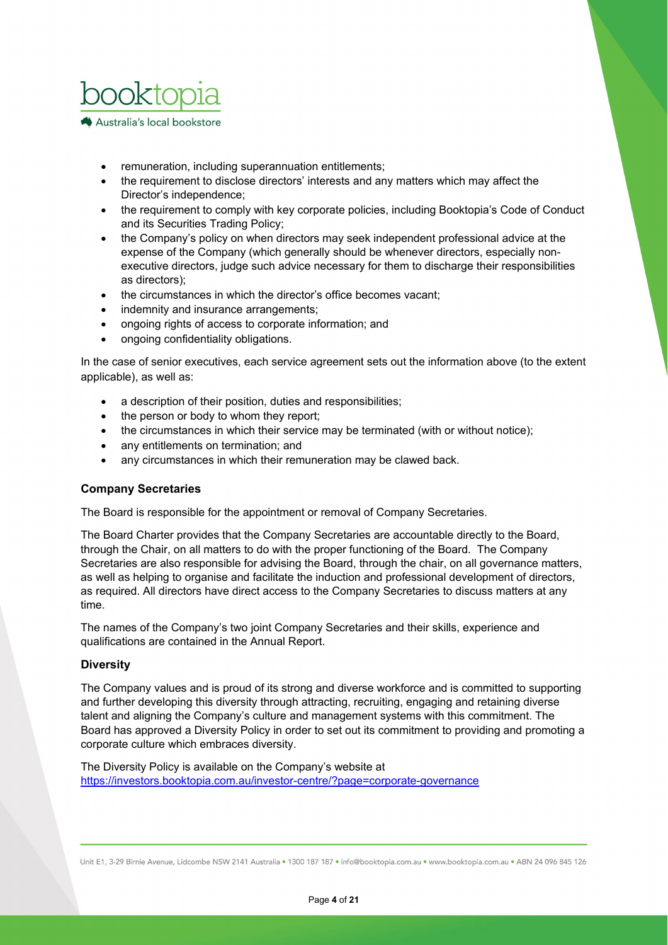

- remuneration, including superannuation entitlements;
- the requirement to disclose directors' interests and any matters which may affect the Director's independence;
- the requirement to comply with key corporate policies, including Booktopia's Code of Conduct and its Securities Trading Policy;
- the Company's policy on when directors may seek independent professional advice at the expense of the Company (which generally should be whenever directors, especially nonexecutive directors, judge such advice necessary for them to discharge their responsibilities as directors);
- the circumstances in which the director's office becomes vacant;
- indemnity and insurance arrangements;
- ongoing rights of access to corporate information; and
- ongoing confidentiality obligations.

In the case of senior executives, each service agreement sets out the information above (to the extent applicable), as well as:

- a description of their position, duties and responsibilities;
- the person or body to whom they report;
- the circumstances in which their service may be terminated (with or without notice);
- any entitlements on termination; and
- any circumstances in which their remuneration may be clawed back.

## **Company Secretaries**

The Board is responsible for the appointment or removal of Company Secretaries.

The Board Charter provides that the Company Secretaries are accountable directly to the Board, through the Chair, on all matters to do with the proper functioning of the Board. The Company Secretaries are also responsible for advising the Board, through the chair, on all governance matters, as well as helping to organise and facilitate the induction and professional development of directors, as required. All directors have direct access to the Company Secretaries to discuss matters at any time.

The names of the Company's two joint Company Secretaries and their skills, experience and qualifications are contained in the Annual Report.

### **Diversity**

The Company values and is proud of its strong and diverse workforce and is committed to supporting and further developing this diversity through attracting, recruiting, engaging and retaining diverse talent and aligning the Company's culture and management systems with this commitment. The Board has approved a Diversity Policy in order to set out its commitment to providing and promoting a corporate culture which embraces diversity.

The Diversity Policy is available on the Company's website at https://investors.booktopia.com.au/investor-centre/?page=corporate-governance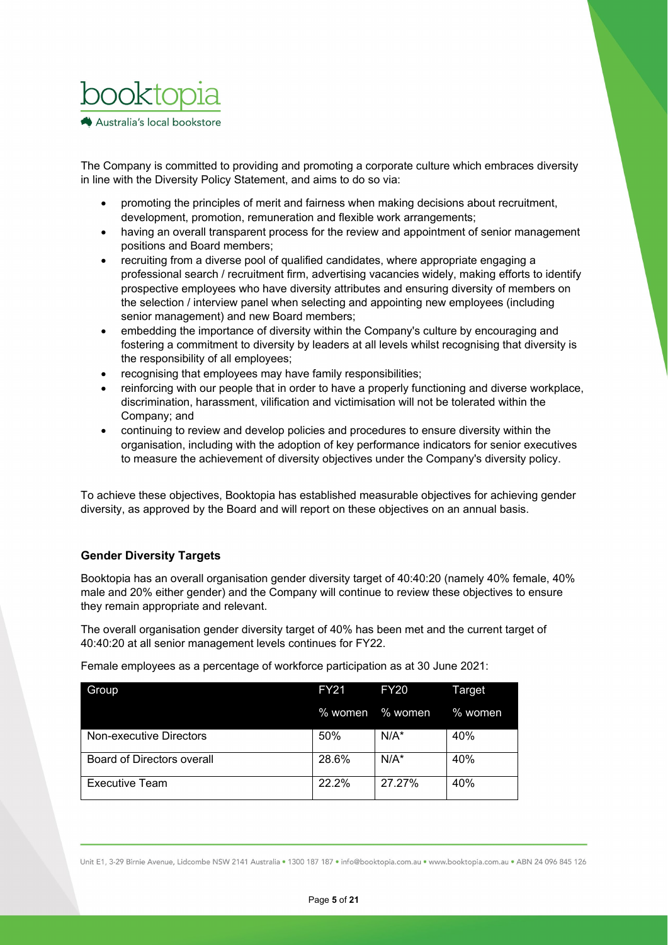

The Company is committed to providing and promoting a corporate culture which embraces diversity in line with the Diversity Policy Statement, and aims to do so via:

- promoting the principles of merit and fairness when making decisions about recruitment, development, promotion, remuneration and flexible work arrangements;
- having an overall transparent process for the review and appointment of senior management positions and Board members;
- recruiting from a diverse pool of qualified candidates, where appropriate engaging a professional search / recruitment firm, advertising vacancies widely, making efforts to identify prospective employees who have diversity attributes and ensuring diversity of members on the selection / interview panel when selecting and appointing new employees (including senior management) and new Board members;
- embedding the importance of diversity within the Company's culture by encouraging and fostering a commitment to diversity by leaders at all levels whilst recognising that diversity is the responsibility of all employees;
- recognising that employees may have family responsibilities;
- reinforcing with our people that in order to have a properly functioning and diverse workplace, discrimination, harassment, vilification and victimisation will not be tolerated within the Company; and
- continuing to review and develop policies and procedures to ensure diversity within the organisation, including with the adoption of key performance indicators for senior executives to measure the achievement of diversity objectives under the Company's diversity policy.

To achieve these objectives, Booktopia has established measurable objectives for achieving gender diversity, as approved by the Board and will report on these objectives on an annual basis.

## **Gender Diversity Targets**

Booktopia has an overall organisation gender diversity target of 40:40:20 (namely 40% female, 40% male and 20% either gender) and the Company will continue to review these objectives to ensure they remain appropriate and relevant.

The overall organisation gender diversity target of 40% has been met and the current target of 40:40:20 at all senior management levels continues for FY22.

Female employees as a percentage of workforce participation as at 30 June 2021:

| Group                             | <b>FY21</b> | <b>FY20</b>     | Target    |
|-----------------------------------|-------------|-----------------|-----------|
|                                   |             | % women % women | $%$ women |
| Non-executive Directors           | 50%         | $N/A^*$         | 40%       |
| <b>Board of Directors overall</b> | 28.6%       | $N/A^*$         | 40%       |
| <b>Executive Team</b>             | 22.2%       | 27.27%          | 40%       |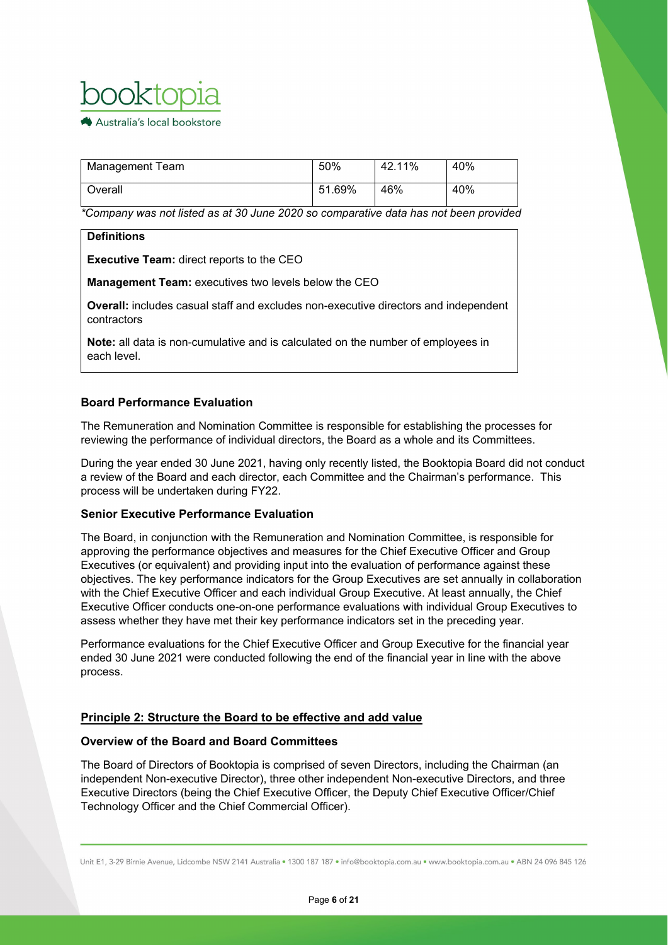

| Management Team | 50%    | 42.11% | 40% |
|-----------------|--------|--------|-----|
| Overall         | 51.69% | 46%    | 40% |

*\*Company was not listed as at 30 June 2020 so comparative data has not been provided*

### **Definitions**

**Executive Team:** direct reports to the CEO

**Management Team:** executives two levels below the CEO

**Overall:** includes casual staff and excludes non-executive directors and independent contractors

**Note:** all data is non-cumulative and is calculated on the number of employees in each level.

## **Board Performance Evaluation**

The Remuneration and Nomination Committee is responsible for establishing the processes for reviewing the performance of individual directors, the Board as a whole and its Committees.

During the year ended 30 June 2021, having only recently listed, the Booktopia Board did not conduct a review of the Board and each director, each Committee and the Chairman's performance. This process will be undertaken during FY22.

## **Senior Executive Performance Evaluation**

The Board, in conjunction with the Remuneration and Nomination Committee, is responsible for approving the performance objectives and measures for the Chief Executive Officer and Group Executives (or equivalent) and providing input into the evaluation of performance against these objectives. The key performance indicators for the Group Executives are set annually in collaboration with the Chief Executive Officer and each individual Group Executive. At least annually, the Chief Executive Officer conducts one-on-one performance evaluations with individual Group Executives to assess whether they have met their key performance indicators set in the preceding year.

Performance evaluations for the Chief Executive Officer and Group Executive for the financial year ended 30 June 2021 were conducted following the end of the financial year in line with the above process.

## **Principle 2: Structure the Board to be effective and add value**

## **Overview of the Board and Board Committees**

The Board of Directors of Booktopia is comprised of seven Directors, including the Chairman (an independent Non-executive Director), three other independent Non-executive Directors, and three Executive Directors (being the Chief Executive Officer, the Deputy Chief Executive Officer/Chief Technology Officer and the Chief Commercial Officer).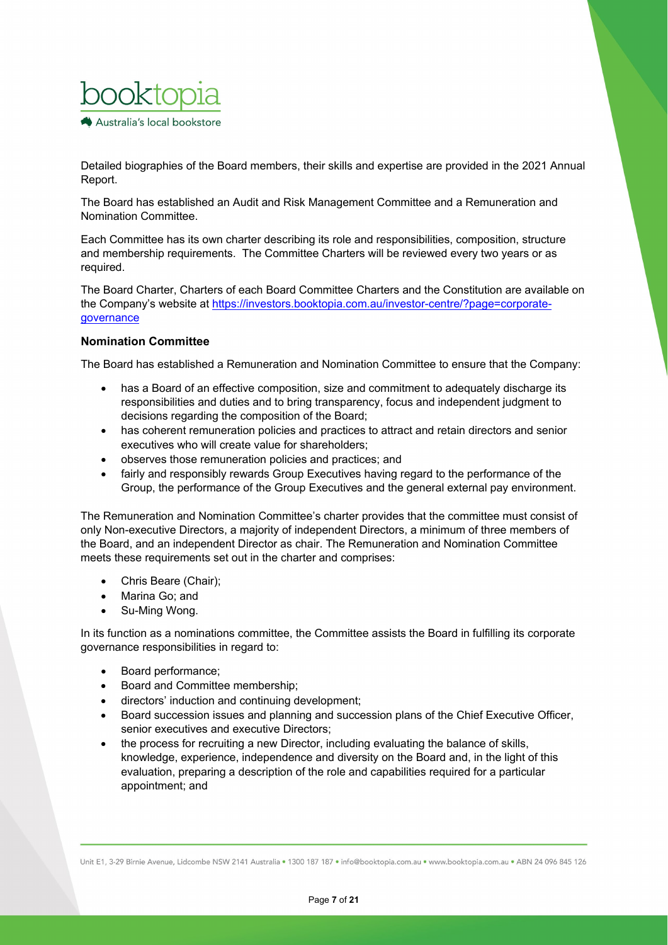

Detailed biographies of the Board members, their skills and expertise are provided in the 2021 Annual Report.

The Board has established an Audit and Risk Management Committee and a Remuneration and Nomination Committee.

Each Committee has its own charter describing its role and responsibilities, composition, structure and membership requirements. The Committee Charters will be reviewed every two years or as required.

The Board Charter, Charters of each Board Committee Charters and the Constitution are available on the Company's website at https://investors.booktopia.com.au/investor-centre/?page=corporategovernance

### **Nomination Committee**

The Board has established a Remuneration and Nomination Committee to ensure that the Company:

- has a Board of an effective composition, size and commitment to adequately discharge its responsibilities and duties and to bring transparency, focus and independent judgment to decisions regarding the composition of the Board;
- has coherent remuneration policies and practices to attract and retain directors and senior executives who will create value for shareholders;
- observes those remuneration policies and practices; and
- fairly and responsibly rewards Group Executives having regard to the performance of the Group, the performance of the Group Executives and the general external pay environment.

The Remuneration and Nomination Committee's charter provides that the committee must consist of only Non-executive Directors, a majority of independent Directors, a minimum of three members of the Board, and an independent Director as chair. The Remuneration and Nomination Committee meets these requirements set out in the charter and comprises:

- Chris Beare (Chair);
- Marina Go; and
- Su-Ming Wong.

In its function as a nominations committee, the Committee assists the Board in fulfilling its corporate governance responsibilities in regard to:

- Board performance;
- Board and Committee membership;
- directors' induction and continuing development;
- Board succession issues and planning and succession plans of the Chief Executive Officer, senior executives and executive Directors;
- the process for recruiting a new Director, including evaluating the balance of skills, knowledge, experience, independence and diversity on the Board and, in the light of this evaluation, preparing a description of the role and capabilities required for a particular appointment; and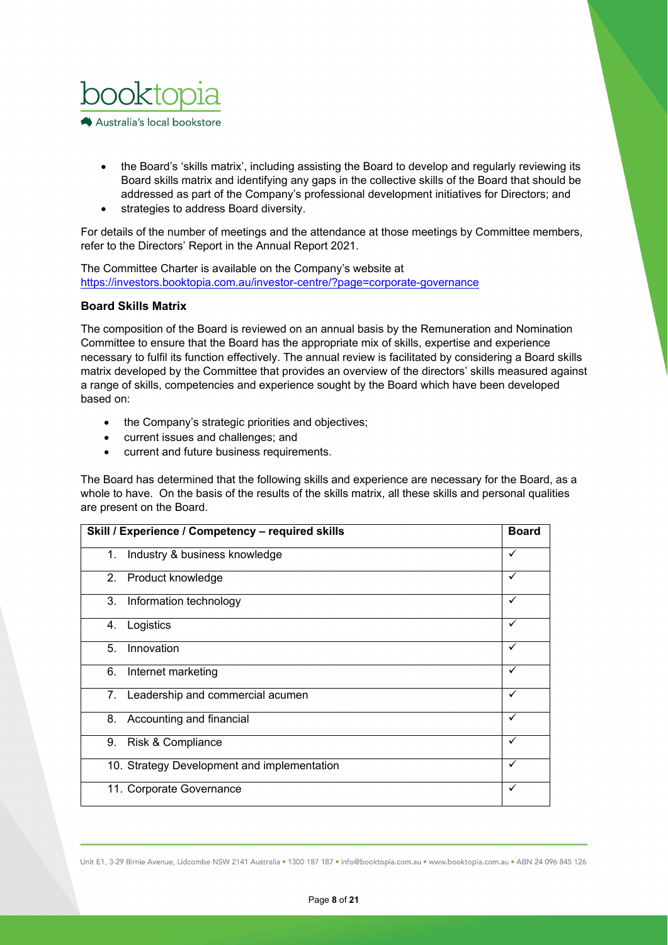

- the Board's 'skills matrix', including assisting the Board to develop and regularly reviewing its Board skills matrix and identifying any gaps in the collective skills of the Board that should be addressed as part of the Company's professional development initiatives for Directors; and
- strategies to address Board diversity.

For details of the number of meetings and the attendance at those meetings by Committee members, refer to the Directors' Report in the Annual Report 2021.

The Committee Charter is available on the Company's website at https://investors.booktopia.com.au/investor-centre/?page=corporate-governance

## **Board Skills Matrix**

The composition of the Board is reviewed on an annual basis by the Remuneration and Nomination Committee to ensure that the Board has the appropriate mix of skills, expertise and experience necessary to fulfil its function effectively. The annual review is facilitated by considering a Board skills matrix developed by the Committee that provides an overview of the directors' skills measured against a range of skills, competencies and experience sought by the Board which have been developed based on:

- the Company's strategic priorities and objectives;
- current issues and challenges; and
- current and future business requirements.

The Board has determined that the following skills and experience are necessary for the Board, as a whole to have. On the basis of the results of the skills matrix, all these skills and personal qualities are present on the Board.

| Skill / Experience / Competency - required skills |   |
|---------------------------------------------------|---|
| 1. Industry & business knowledge                  | ✓ |
| 2. Product knowledge                              | ✓ |
| 3.<br>Information technology                      | ✓ |
| Logistics<br>4.                                   | ✓ |
| Innovation<br>5.                                  | ✓ |
| 6.<br>Internet marketing                          | ✓ |
| 7. Leadership and commercial acumen               | ✓ |
| 8. Accounting and financial                       | ✓ |
| 9.<br>Risk & Compliance                           | ✓ |
| 10. Strategy Development and implementation       | ✓ |
| 11. Corporate Governance                          | ✓ |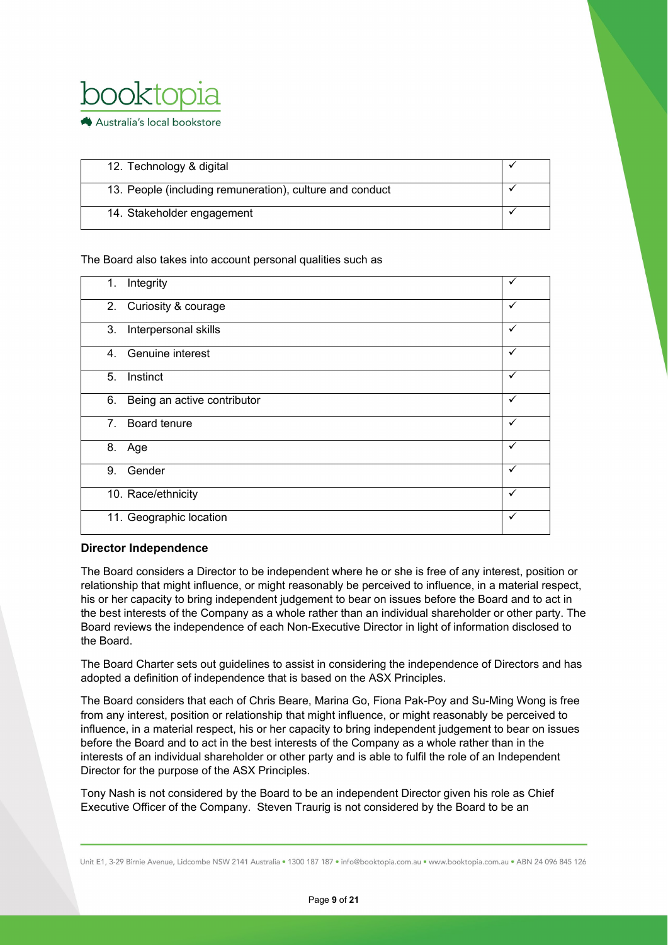

| 12. Technology & digital                                 |  |
|----------------------------------------------------------|--|
| 13. People (including remuneration), culture and conduct |  |
| 14. Stakeholder engagement                               |  |

### The Board also takes into account personal qualities such as

| 1.                             | Integrity                   |   |
|--------------------------------|-----------------------------|---|
|                                | 2. Curiosity & courage      | ✓ |
| 3.                             | Interpersonal skills        | ✓ |
| 4.                             | Genuine interest            | ✓ |
| 5 <sub>1</sub>                 | Instinct                    | ✓ |
| 6.                             | Being an active contributor | ✓ |
| $7_{\scriptscriptstyle{\sim}}$ | Board tenure                | ✓ |
|                                | 8. Age                      | ✓ |
| 9.                             | Gender                      | ✓ |
|                                | 10. Race/ethnicity          | ✓ |
|                                | 11. Geographic location     | ✓ |

### **Director Independence**

The Board considers a Director to be independent where he or she is free of any interest, position or relationship that might influence, or might reasonably be perceived to influence, in a material respect, his or her capacity to bring independent judgement to bear on issues before the Board and to act in the best interests of the Company as a whole rather than an individual shareholder or other party. The Board reviews the independence of each Non-Executive Director in light of information disclosed to the Board.

The Board Charter sets out guidelines to assist in considering the independence of Directors and has adopted a definition of independence that is based on the ASX Principles.

The Board considers that each of Chris Beare, Marina Go, Fiona Pak-Poy and Su-Ming Wong is free from any interest, position or relationship that might influence, or might reasonably be perceived to influence, in a material respect, his or her capacity to bring independent judgement to bear on issues before the Board and to act in the best interests of the Company as a whole rather than in the interests of an individual shareholder or other party and is able to fulfil the role of an Independent Director for the purpose of the ASX Principles.

Tony Nash is not considered by the Board to be an independent Director given his role as Chief Executive Officer of the Company. Steven Traurig is not considered by the Board to be an

Unit E1, 3-29 Birnie Avenue, Lidcombe NSW 2141 Australia . 1300 187 187 . info@booktopia.com.au . www.booktopia.com.au . ABN 24 096 845 126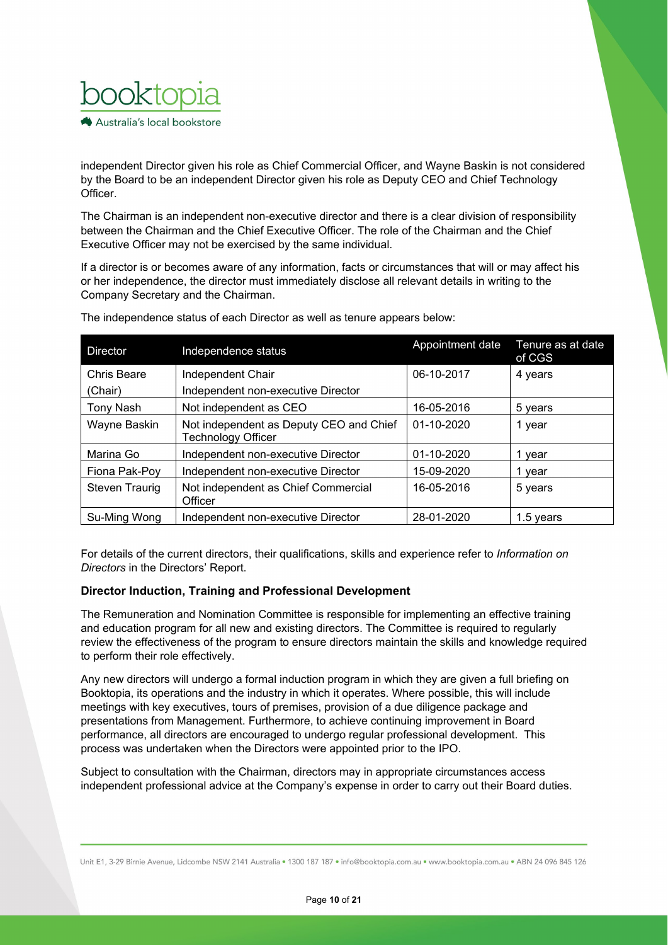

independent Director given his role as Chief Commercial Officer, and Wayne Baskin is not considered by the Board to be an independent Director given his role as Deputy CEO and Chief Technology Officer.

The Chairman is an independent non-executive director and there is a clear division of responsibility between the Chairman and the Chief Executive Officer. The role of the Chairman and the Chief Executive Officer may not be exercised by the same individual.

If a director is or becomes aware of any information, facts or circumstances that will or may affect his or her independence, the director must immediately disclose all relevant details in writing to the Company Secretary and the Chairman.

| Director              | Independence status                                           | Appointment date | Tenure as at date<br>of CGS |
|-----------------------|---------------------------------------------------------------|------------------|-----------------------------|
| Chris Beare           | Independent Chair                                             | 06-10-2017       | 4 years                     |
| (Chair)               | Independent non-executive Director                            |                  |                             |
| <b>Tony Nash</b>      | Not independent as CEO                                        | 16-05-2016       | 5 years                     |
| Wayne Baskin          | Not independent as Deputy CEO and Chief<br>Technology Officer | 01-10-2020       | 1 year                      |
| Marina Go             | Independent non-executive Director                            | 01-10-2020       | year                        |
| Fiona Pak-Poy         | Independent non-executive Director                            | 15-09-2020       | year                        |
| <b>Steven Traurig</b> | Not independent as Chief Commercial<br>Officer                | 16-05-2016       | 5 years                     |
| Su-Mina Wona          | Independent non-executive Director                            | 28-01-2020       | 1.5 vears                   |

The independence status of each Director as well as tenure appears below:

For details of the current directors, their qualifications, skills and experience refer to *Information on Directors* in the Directors' Report.

### **Director Induction, Training and Professional Development**

The Remuneration and Nomination Committee is responsible for implementing an effective training and education program for all new and existing directors. The Committee is required to regularly review the effectiveness of the program to ensure directors maintain the skills and knowledge required to perform their role effectively.

Any new directors will undergo a formal induction program in which they are given a full briefing on Booktopia, its operations and the industry in which it operates. Where possible, this will include meetings with key executives, tours of premises, provision of a due diligence package and presentations from Management. Furthermore, to achieve continuing improvement in Board performance, all directors are encouraged to undergo regular professional development. This process was undertaken when the Directors were appointed prior to the IPO.

Subject to consultation with the Chairman, directors may in appropriate circumstances access independent professional advice at the Company's expense in order to carry out their Board duties.

Unit E1, 3-29 Birnie Avenue, Lidcombe NSW 2141 Australia . 1300 187 187 . info@booktopia.com.au . www.booktopia.com.au . ABN 24 096 845 126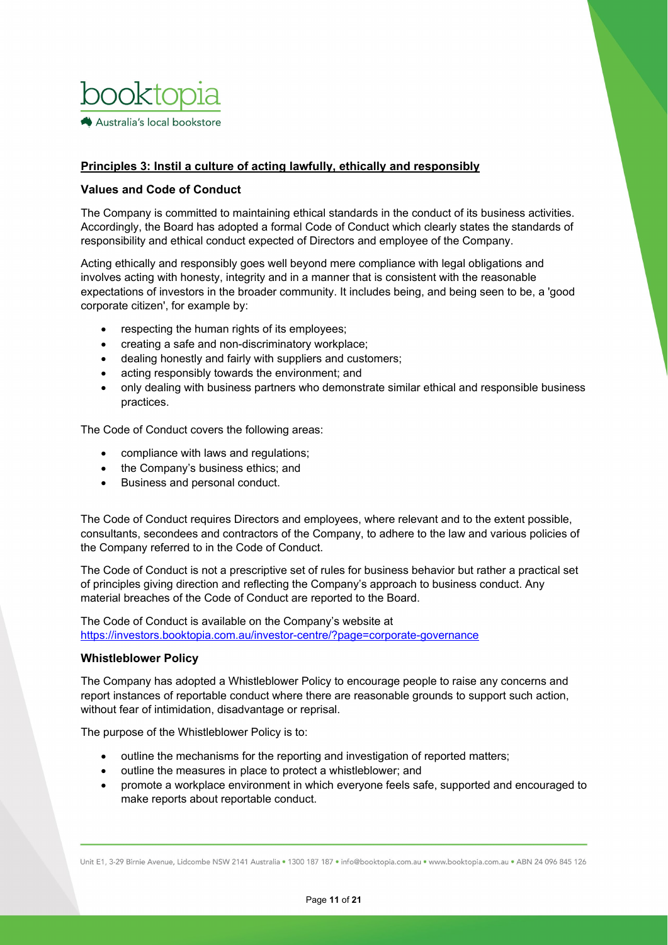

## **Principles 3: Instil a culture of acting lawfully, ethically and responsibly**

### **Values and Code of Conduct**

The Company is committed to maintaining ethical standards in the conduct of its business activities. Accordingly, the Board has adopted a formal Code of Conduct which clearly states the standards of responsibility and ethical conduct expected of Directors and employee of the Company.

Acting ethically and responsibly goes well beyond mere compliance with legal obligations and involves acting with honesty, integrity and in a manner that is consistent with the reasonable expectations of investors in the broader community. It includes being, and being seen to be, a 'good corporate citizen', for example by:

- respecting the human rights of its employees;
- creating a safe and non-discriminatory workplace;
- dealing honestly and fairly with suppliers and customers;
- acting responsibly towards the environment; and
- only dealing with business partners who demonstrate similar ethical and responsible business practices.

The Code of Conduct covers the following areas:

- compliance with laws and regulations;
- the Company's business ethics; and
- Business and personal conduct.

The Code of Conduct requires Directors and employees, where relevant and to the extent possible, consultants, secondees and contractors of the Company, to adhere to the law and various policies of the Company referred to in the Code of Conduct.

The Code of Conduct is not a prescriptive set of rules for business behavior but rather a practical set of principles giving direction and reflecting the Company's approach to business conduct. Any material breaches of the Code of Conduct are reported to the Board.

The Code of Conduct is available on the Company's website at <https://investors.booktopia.com.au/investor-centre/?page=corporate-governance>

### **Whistleblower Policy**

The Company has adopted a Whistleblower Policy to encourage people to raise any concerns and report instances of reportable conduct where there are reasonable grounds to support such action, without fear of intimidation, disadvantage or reprisal.

The purpose of the Whistleblower Policy is to:

- outline the mechanisms for the reporting and investigation of reported matters;
- outline the measures in place to protect a whistleblower; and
- promote a workplace environment in which everyone feels safe, supported and encouraged to make reports about reportable conduct.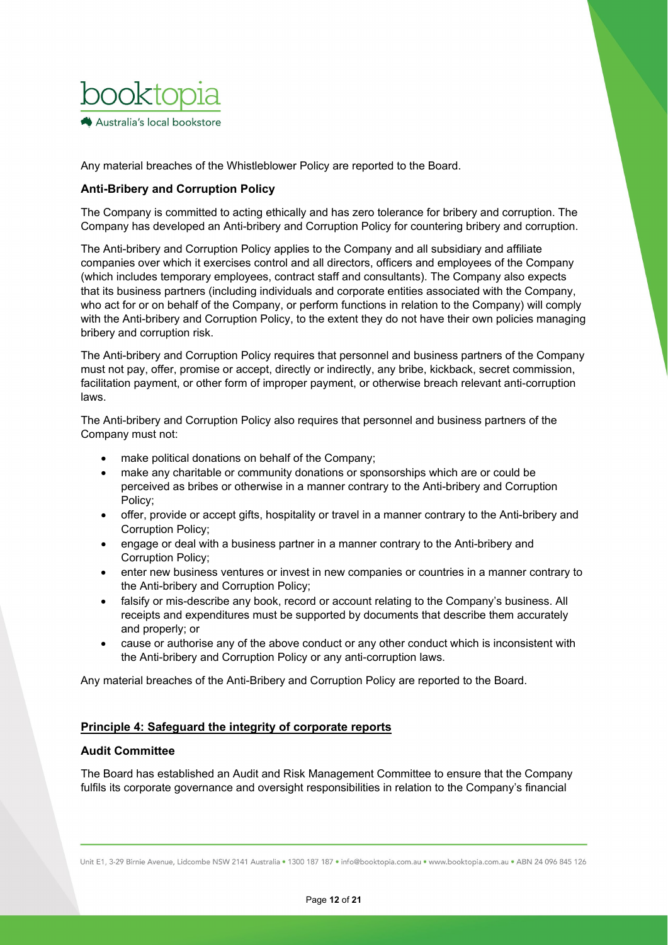

Any material breaches of the Whistleblower Policy are reported to the Board.

## **Anti-Bribery and Corruption Policy**

The Company is committed to acting ethically and has zero tolerance for bribery and corruption. The Company has developed an Anti-bribery and Corruption Policy for countering bribery and corruption.

The Anti-bribery and Corruption Policy applies to the Company and all subsidiary and affiliate companies over which it exercises control and all directors, officers and employees of the Company (which includes temporary employees, contract staff and consultants). The Company also expects that its business partners (including individuals and corporate entities associated with the Company, who act for or on behalf of the Company, or perform functions in relation to the Company) will comply with the Anti-bribery and Corruption Policy, to the extent they do not have their own policies managing bribery and corruption risk.

The Anti-bribery and Corruption Policy requires that personnel and business partners of the Company must not pay, offer, promise or accept, directly or indirectly, any bribe, kickback, secret commission, facilitation payment, or other form of improper payment, or otherwise breach relevant anti-corruption laws.

The Anti-bribery and Corruption Policy also requires that personnel and business partners of the Company must not:

- make political donations on behalf of the Company;
- make any charitable or community donations or sponsorships which are or could be perceived as bribes or otherwise in a manner contrary to the Anti-bribery and Corruption Policy;
- offer, provide or accept gifts, hospitality or travel in a manner contrary to the Anti-bribery and Corruption Policy;
- engage or deal with a business partner in a manner contrary to the Anti-bribery and Corruption Policy;
- enter new business ventures or invest in new companies or countries in a manner contrary to the Anti-bribery and Corruption Policy;
- falsify or mis-describe any book, record or account relating to the Company's business. All receipts and expenditures must be supported by documents that describe them accurately and properly; or
- cause or authorise any of the above conduct or any other conduct which is inconsistent with the Anti-bribery and Corruption Policy or any anti-corruption laws.

Any material breaches of the Anti-Bribery and Corruption Policy are reported to the Board.

## **Principle 4: Safeguard the integrity of corporate reports**

## **Audit Committee**

The Board has established an Audit and Risk Management Committee to ensure that the Company fulfils its corporate governance and oversight responsibilities in relation to the Company's financial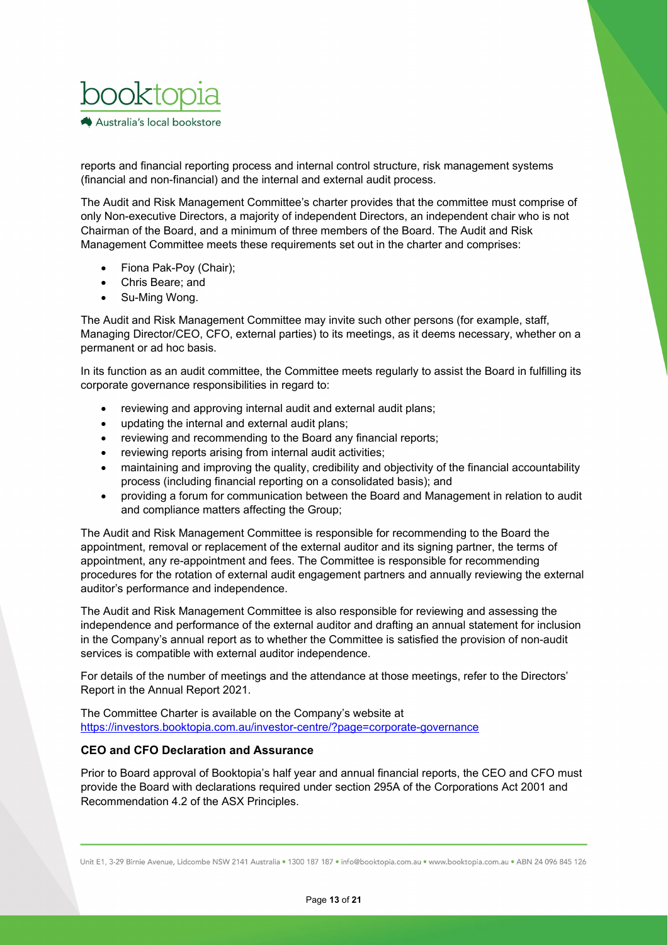

reports and financial reporting process and internal control structure, risk management systems (financial and non-financial) and the internal and external audit process.

The Audit and Risk Management Committee's charter provides that the committee must comprise of only Non-executive Directors, a majority of independent Directors, an independent chair who is not Chairman of the Board, and a minimum of three members of the Board. The Audit and Risk Management Committee meets these requirements set out in the charter and comprises:

- Fiona Pak-Poy (Chair);
- Chris Beare; and
- Su-Ming Wong.

The Audit and Risk Management Committee may invite such other persons (for example, staff, Managing Director/CEO, CFO, external parties) to its meetings, as it deems necessary, whether on a permanent or ad hoc basis.

In its function as an audit committee, the Committee meets regularly to assist the Board in fulfilling its corporate governance responsibilities in regard to:

- reviewing and approving internal audit and external audit plans;
- updating the internal and external audit plans;
- reviewing and recommending to the Board any financial reports;
- reviewing reports arising from internal audit activities;
- maintaining and improving the quality, credibility and objectivity of the financial accountability process (including financial reporting on a consolidated basis); and
- providing a forum for communication between the Board and Management in relation to audit and compliance matters affecting the Group;

The Audit and Risk Management Committee is responsible for recommending to the Board the appointment, removal or replacement of the external auditor and its signing partner, the terms of appointment, any re-appointment and fees. The Committee is responsible for recommending procedures for the rotation of external audit engagement partners and annually reviewing the external auditor's performance and independence.

The Audit and Risk Management Committee is also responsible for reviewing and assessing the independence and performance of the external auditor and drafting an annual statement for inclusion in the Company's annual report as to whether the Committee is satisfied the provision of non-audit services is compatible with external auditor independence.

For details of the number of meetings and the attendance at those meetings, refer to the Directors' Report in the Annual Report 2021.

The Committee Charter is available on the Company's website at <https://investors.booktopia.com.au/investor-centre/?page=corporate-governance>

### **CEO and CFO Declaration and Assurance**

Prior to Board approval of Booktopia's half year and annual financial reports, the CEO and CFO must provide the Board with declarations required under section 295A of the Corporations Act 2001 and Recommendation 4.2 of the ASX Principles.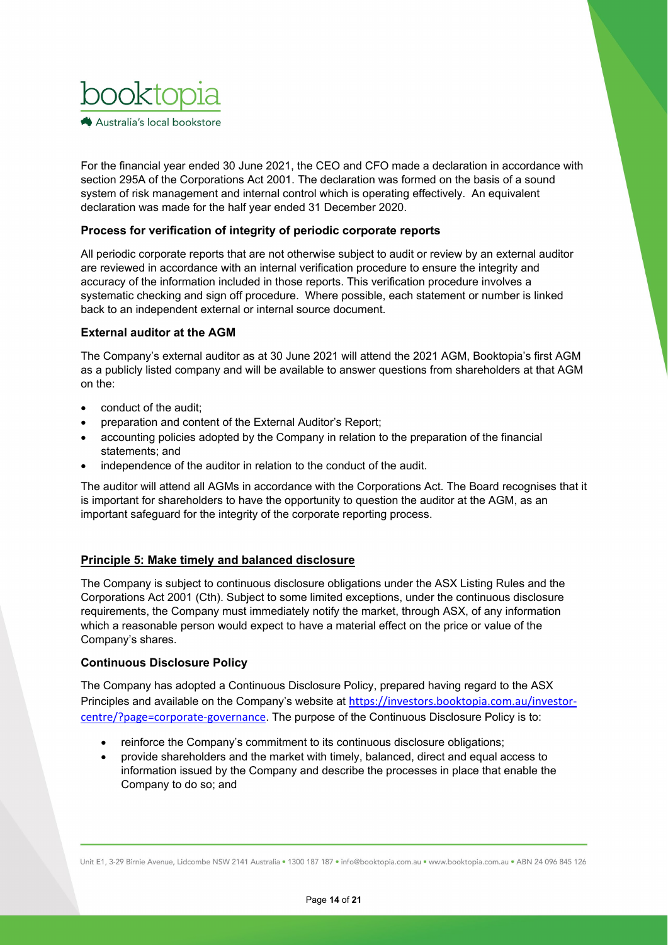

For the financial year ended 30 June 2021, the CEO and CFO made a declaration in accordance with section 295A of the Corporations Act 2001. The declaration was formed on the basis of a sound system of risk management and internal control which is operating effectively. An equivalent declaration was made for the half year ended 31 December 2020.

## **Process for verification of integrity of periodic corporate reports**

All periodic corporate reports that are not otherwise subject to audit or review by an external auditor are reviewed in accordance with an internal verification procedure to ensure the integrity and accuracy of the information included in those reports. This verification procedure involves a systematic checking and sign off procedure. Where possible, each statement or number is linked back to an independent external or internal source document.

## **External auditor at the AGM**

The Company's external auditor as at 30 June 2021 will attend the 2021 AGM, Booktopia's first AGM as a publicly listed company and will be available to answer questions from shareholders at that AGM on the:

- conduct of the audit;
- preparation and content of the External Auditor's Report;
- accounting policies adopted by the Company in relation to the preparation of the financial statements; and
- independence of the auditor in relation to the conduct of the audit.

The auditor will attend all AGMs in accordance with the Corporations Act. The Board recognises that it is important for shareholders to have the opportunity to question the auditor at the AGM, as an important safeguard for the integrity of the corporate reporting process.

## **Principle 5: Make timely and balanced disclosure**

The Company is subject to continuous disclosure obligations under the ASX Listing Rules and the Corporations Act 2001 (Cth). Subject to some limited exceptions, under the continuous disclosure requirements, the Company must immediately notify the market, through ASX, of any information which a reasonable person would expect to have a material effect on the price or value of the Company's shares.

## **Continuous Disclosure Policy**

The Company has adopted a Continuous Disclosure Policy, prepared having regard to the ASX Principles and available on the Company's website at https://investors.booktopia.com.au/investorcentre/?page=corporate-governance. The purpose of the Continuous Disclosure Policy is to:

- reinforce the Company's commitment to its continuous disclosure obligations;
- provide shareholders and the market with timely, balanced, direct and equal access to information issued by the Company and describe the processes in place that enable the Company to do so; and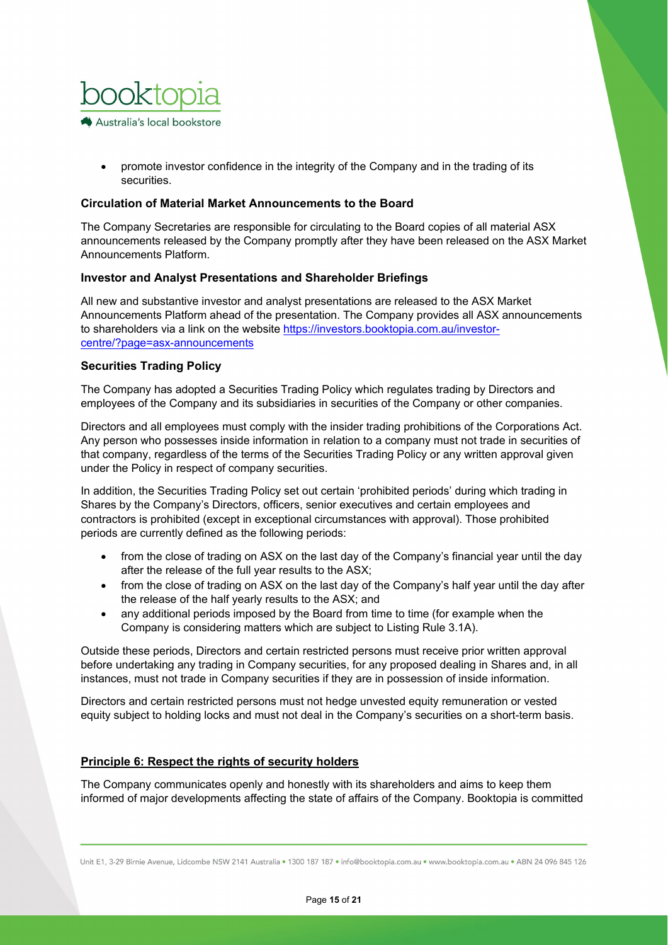

• promote investor confidence in the integrity of the Company and in the trading of its securities.

### **Circulation of Material Market Announcements to the Board**

The Company Secretaries are responsible for circulating to the Board copies of all material ASX announcements released by the Company promptly after they have been released on the ASX Market Announcements Platform.

### **Investor and Analyst Presentations and Shareholder Briefings**

All new and substantive investor and analyst presentations are released to the ASX Market Announcements Platform ahead of the presentation. The Company provides all ASX announcements to shareholders via a link on the website [https://investors.booktopia.com.au/investor](https://investors.booktopia.com.au/investor-centre/?page=asx-announcements)[centre/?page=asx-announcements](https://investors.booktopia.com.au/investor-centre/?page=asx-announcements)

### **Securities Trading Policy**

The Company has adopted a Securities Trading Policy which regulates trading by Directors and employees of the Company and its subsidiaries in securities of the Company or other companies.

Directors and all employees must comply with the insider trading prohibitions of the Corporations Act. Any person who possesses inside information in relation to a company must not trade in securities of that company, regardless of the terms of the Securities Trading Policy or any written approval given under the Policy in respect of company securities.

In addition, the Securities Trading Policy set out certain 'prohibited periods' during which trading in Shares by the Company's Directors, officers, senior executives and certain employees and contractors is prohibited (except in exceptional circumstances with approval). Those prohibited periods are currently defined as the following periods:

- from the close of trading on ASX on the last day of the Company's financial year until the day after the release of the full year results to the ASX;
- from the close of trading on ASX on the last day of the Company's half year until the day after the release of the half yearly results to the ASX; and
- any additional periods imposed by the Board from time to time (for example when the Company is considering matters which are subject to Listing Rule 3.1A).

Outside these periods, Directors and certain restricted persons must receive prior written approval before undertaking any trading in Company securities, for any proposed dealing in Shares and, in all instances, must not trade in Company securities if they are in possession of inside information.

Directors and certain restricted persons must not hedge unvested equity remuneration or vested equity subject to holding locks and must not deal in the Company's securities on a short-term basis.

## **Principle 6: Respect the rights of security holders**

The Company communicates openly and honestly with its shareholders and aims to keep them informed of major developments affecting the state of affairs of the Company. Booktopia is committed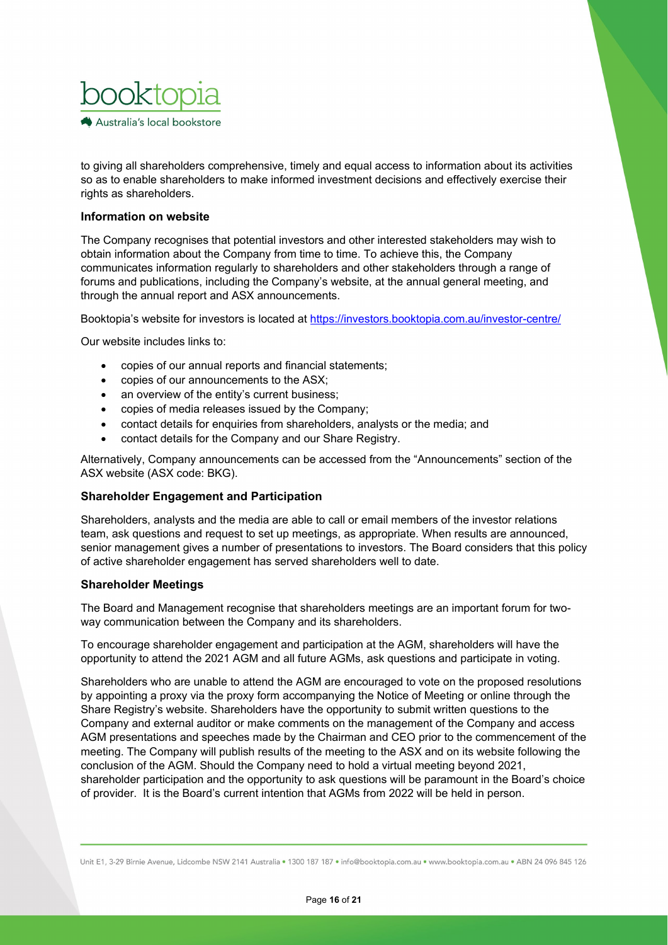

to giving all shareholders comprehensive, timely and equal access to information about its activities so as to enable shareholders to make informed investment decisions and effectively exercise their rights as shareholders.

### **Information on website**

The Company recognises that potential investors and other interested stakeholders may wish to obtain information about the Company from time to time. To achieve this, the Company communicates information regularly to shareholders and other stakeholders through a range of forums and publications, including the Company's website, at the annual general meeting, and through the annual report and ASX announcements.

Booktopia's website for investors is located at<https://investors.booktopia.com.au/investor-centre/>

Our website includes links to:

- copies of our annual reports and financial statements;
- copies of our announcements to the ASX;
- an overview of the entity's current business;
- copies of media releases issued by the Company;
- contact details for enquiries from shareholders, analysts or the media; and
- contact details for the Company and our Share Registry.

Alternatively, Company announcements can be accessed from the "Announcements" section of the ASX website (ASX code: BKG).

### **Shareholder Engagement and Participation**

Shareholders, analysts and the media are able to call or email members of the investor relations team, ask questions and request to set up meetings, as appropriate. When results are announced, senior management gives a number of presentations to investors. The Board considers that this policy of active shareholder engagement has served shareholders well to date.

### **Shareholder Meetings**

The Board and Management recognise that shareholders meetings are an important forum for twoway communication between the Company and its shareholders.

To encourage shareholder engagement and participation at the AGM, shareholders will have the opportunity to attend the 2021 AGM and all future AGMs, ask questions and participate in voting.

Shareholders who are unable to attend the AGM are encouraged to vote on the proposed resolutions by appointing a proxy via the proxy form accompanying the Notice of Meeting or online through the Share Registry's website. Shareholders have the opportunity to submit written questions to the Company and external auditor or make comments on the management of the Company and access AGM presentations and speeches made by the Chairman and CEO prior to the commencement of the meeting. The Company will publish results of the meeting to the ASX and on its website following the conclusion of the AGM. Should the Company need to hold a virtual meeting beyond 2021, shareholder participation and the opportunity to ask questions will be paramount in the Board's choice of provider. It is the Board's current intention that AGMs from 2022 will be held in person.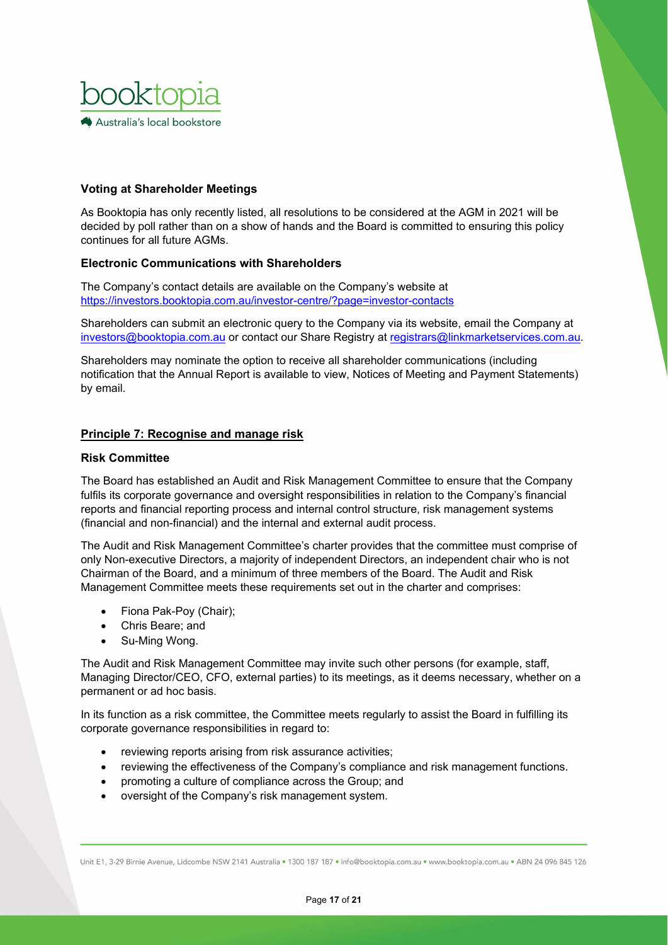

## **Voting at Shareholder Meetings**

As Booktopia has only recently listed, all resolutions to be considered at the AGM in 2021 will be decided by poll rather than on a show of hands and the Board is committed to ensuring this policy continues for all future AGMs.

# **Electronic Communications with Shareholders**

The Company's contact details are available on the Company's website at <https://investors.booktopia.com.au/investor-centre/?page=investor-contacts>

Shareholders can submit an electronic query to the Company via its website, email the Company at [investors@booktopia.com.au](mailto:investors@booktopia.com.au) or contact our Share Registry at [registrars@linkmarketservices.com.au.](mailto:registrars@linkmarketservices.com.au)

Shareholders may nominate the option to receive all shareholder communications (including notification that the Annual Report is available to view, Notices of Meeting and Payment Statements) by email.

### **Principle 7: Recognise and manage risk**

#### **Risk Committee**

The Board has established an Audit and Risk Management Committee to ensure that the Company fulfils its corporate governance and oversight responsibilities in relation to the Company's financial reports and financial reporting process and internal control structure, risk management systems (financial and non-financial) and the internal and external audit process.

The Audit and Risk Management Committee's charter provides that the committee must comprise of only Non-executive Directors, a majority of independent Directors, an independent chair who is not Chairman of the Board, and a minimum of three members of the Board. The Audit and Risk Management Committee meets these requirements set out in the charter and comprises:

- Fiona Pak-Poy (Chair);
- Chris Beare; and
- Su-Ming Wong.

The Audit and Risk Management Committee may invite such other persons (for example, staff, Managing Director/CEO, CFO, external parties) to its meetings, as it deems necessary, whether on a permanent or ad hoc basis.

In its function as a risk committee, the Committee meets regularly to assist the Board in fulfilling its corporate governance responsibilities in regard to:

- reviewing reports arising from risk assurance activities;
- reviewing the effectiveness of the Company's compliance and risk management functions.
- promoting a culture of compliance across the Group; and
- oversight of the Company's risk management system.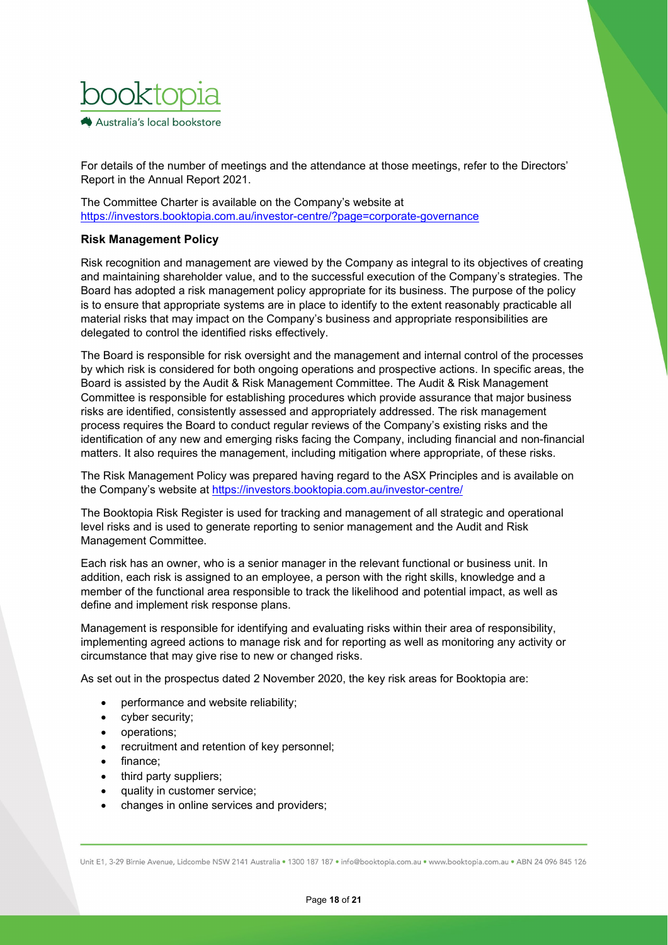

For details of the number of meetings and the attendance at those meetings, refer to the Directors' Report in the Annual Report 2021.

The Committee Charter is available on the Company's website at <https://investors.booktopia.com.au/investor-centre/?page=corporate-governance>

## **Risk Management Policy**

Risk recognition and management are viewed by the Company as integral to its objectives of creating and maintaining shareholder value, and to the successful execution of the Company's strategies. The Board has adopted a risk management policy appropriate for its business. The purpose of the policy is to ensure that appropriate systems are in place to identify to the extent reasonably practicable all material risks that may impact on the Company's business and appropriate responsibilities are delegated to control the identified risks effectively.

The Board is responsible for risk oversight and the management and internal control of the processes by which risk is considered for both ongoing operations and prospective actions. In specific areas, the Board is assisted by the Audit & Risk Management Committee. The Audit & Risk Management Committee is responsible for establishing procedures which provide assurance that major business risks are identified, consistently assessed and appropriately addressed. The risk management process requires the Board to conduct regular reviews of the Company's existing risks and the identification of any new and emerging risks facing the Company, including financial and non-financial matters. It also requires the management, including mitigation where appropriate, of these risks.

The Risk Management Policy was prepared having regard to the ASX Principles and is available on the Company's website at <https://investors.booktopia.com.au/investor-centre/>

The Booktopia Risk Register is used for tracking and management of all strategic and operational level risks and is used to generate reporting to senior management and the Audit and Risk Management Committee.

Each risk has an owner, who is a senior manager in the relevant functional or business unit. In addition, each risk is assigned to an employee, a person with the right skills, knowledge and a member of the functional area responsible to track the likelihood and potential impact, as well as define and implement risk response plans.

Management is responsible for identifying and evaluating risks within their area of responsibility, implementing agreed actions to manage risk and for reporting as well as monitoring any activity or circumstance that may give rise to new or changed risks.

As set out in the prospectus dated 2 November 2020, the key risk areas for Booktopia are:

- performance and website reliability;
- cyber security;
- operations;
- recruitment and retention of key personnel;
- finance:
- third party suppliers;
- quality in customer service;
- changes in online services and providers;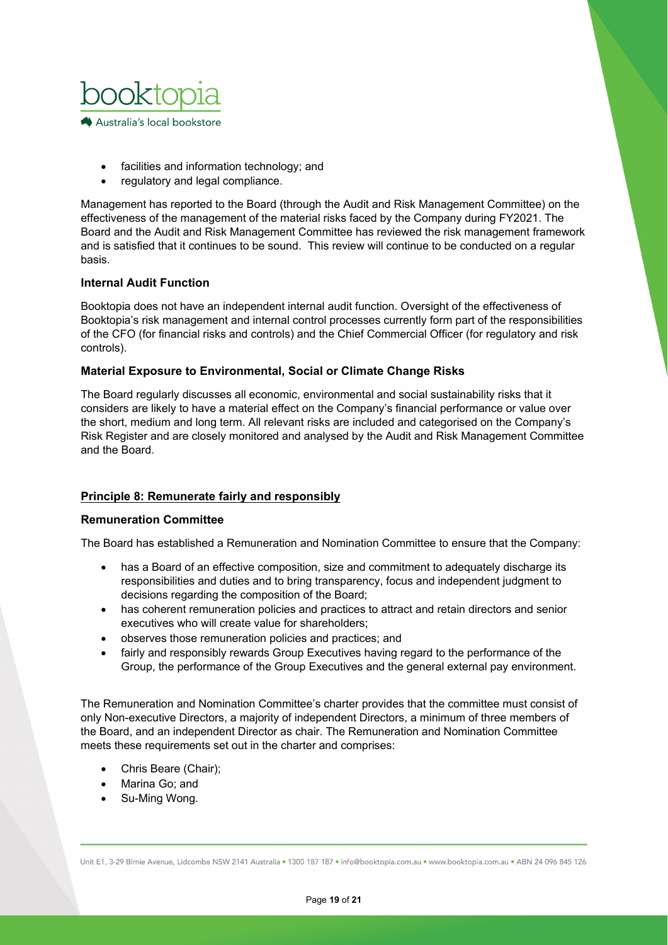

- facilities and information technology; and
- regulatory and legal compliance.

Management has reported to the Board (through the Audit and Risk Management Committee) on the effectiveness of the management of the material risks faced by the Company during FY2021. The Board and the Audit and Risk Management Committee has reviewed the risk management framework and is satisfied that it continues to be sound. This review will continue to be conducted on a regular basis.

## **Internal Audit Function**

Booktopia does not have an independent internal audit function. Oversight of the effectiveness of Booktopia's risk management and internal control processes currently form part of the responsibilities of the CFO (for financial risks and controls) and the Chief Commercial Officer (for regulatory and risk controls).

### **Material Exposure to Environmental, Social or Climate Change Risks**

The Board regularly discusses all economic, environmental and social sustainability risks that it considers are likely to have a material effect on the Company's financial performance or value over the short, medium and long term. All relevant risks are included and categorised on the Company's Risk Register and are closely monitored and analysed by the Audit and Risk Management Committee and the Board.

## **Principle 8: Remunerate fairly and responsibly**

### **Remuneration Committee**

The Board has established a Remuneration and Nomination Committee to ensure that the Company:

- has a Board of an effective composition, size and commitment to adequately discharge its responsibilities and duties and to bring transparency, focus and independent judgment to decisions regarding the composition of the Board;
- has coherent remuneration policies and practices to attract and retain directors and senior executives who will create value for shareholders;
- observes those remuneration policies and practices; and
- fairly and responsibly rewards Group Executives having regard to the performance of the Group, the performance of the Group Executives and the general external pay environment.

The Remuneration and Nomination Committee's charter provides that the committee must consist of only Non-executive Directors, a majority of independent Directors, a minimum of three members of the Board, and an independent Director as chair. The Remuneration and Nomination Committee meets these requirements set out in the charter and comprises:

- Chris Beare (Chair);
- Marina Go; and
- Su-Ming Wong.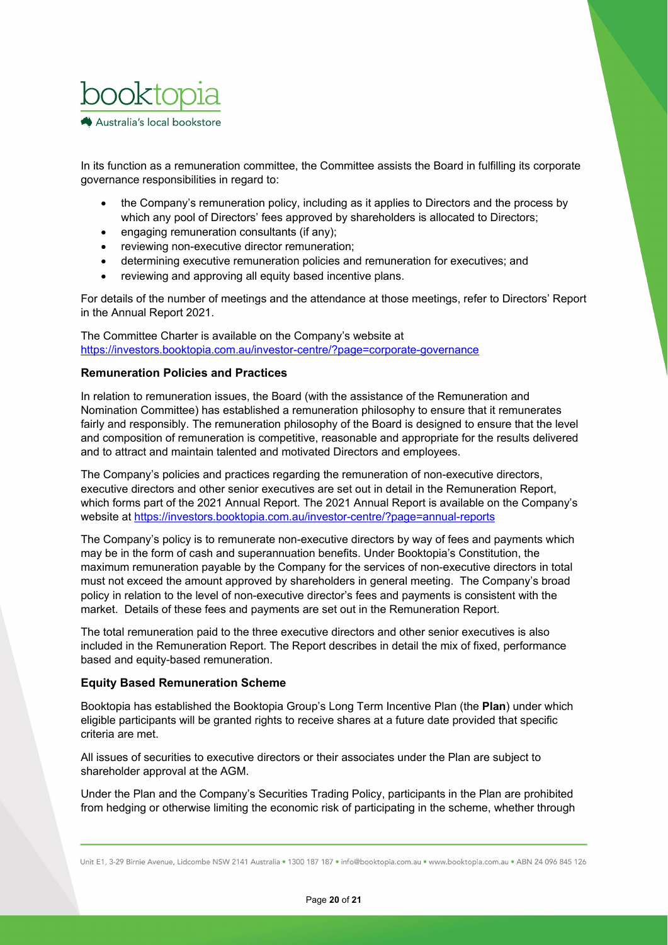

In its function as a remuneration committee, the Committee assists the Board in fulfilling its corporate governance responsibilities in regard to:

- the Company's remuneration policy, including as it applies to Directors and the process by which any pool of Directors' fees approved by shareholders is allocated to Directors;
- engaging remuneration consultants (if any);
- reviewing non-executive director remuneration;
- determining executive remuneration policies and remuneration for executives; and
- reviewing and approving all equity based incentive plans.

For details of the number of meetings and the attendance at those meetings, refer to Directors' Report in the Annual Report 2021.

The Committee Charter is available on the Company's website at <https://investors.booktopia.com.au/investor-centre/?page=corporate-governance>

### **Remuneration Policies and Practices**

In relation to remuneration issues, the Board (with the assistance of the Remuneration and Nomination Committee) has established a remuneration philosophy to ensure that it remunerates fairly and responsibly. The remuneration philosophy of the Board is designed to ensure that the level and composition of remuneration is competitive, reasonable and appropriate for the results delivered and to attract and maintain talented and motivated Directors and employees.

The Company's policies and practices regarding the remuneration of non-executive directors, executive directors and other senior executives are set out in detail in the Remuneration Report, which forms part of the 2021 Annual Report. The 2021 Annual Report is available on the Company's website at<https://investors.booktopia.com.au/investor-centre/?page=annual-reports>

The Company's policy is to remunerate non-executive directors by way of fees and payments which may be in the form of cash and superannuation benefits. Under Booktopia's Constitution, the maximum remuneration payable by the Company for the services of non-executive directors in total must not exceed the amount approved by shareholders in general meeting. The Company's broad policy in relation to the level of non-executive director's fees and payments is consistent with the market. Details of these fees and payments are set out in the Remuneration Report.

The total remuneration paid to the three executive directors and other senior executives is also included in the Remuneration Report. The Report describes in detail the mix of fixed, performance based and equity-based remuneration.

### **Equity Based Remuneration Scheme**

Booktopia has established the Booktopia Group's Long Term Incentive Plan (the **Plan**) under which eligible participants will be granted rights to receive shares at a future date provided that specific criteria are met.

All issues of securities to executive directors or their associates under the Plan are subject to shareholder approval at the AGM.

Under the Plan and the Company's Securities Trading Policy, participants in the Plan are prohibited from hedging or otherwise limiting the economic risk of participating in the scheme, whether through

Unit E1, 3-29 Birnie Avenue, Lidcombe NSW 2141 Australia . 1300 187 187 . info@booktopia.com.au . www.booktopia.com.au . ABN 24 096 845 126